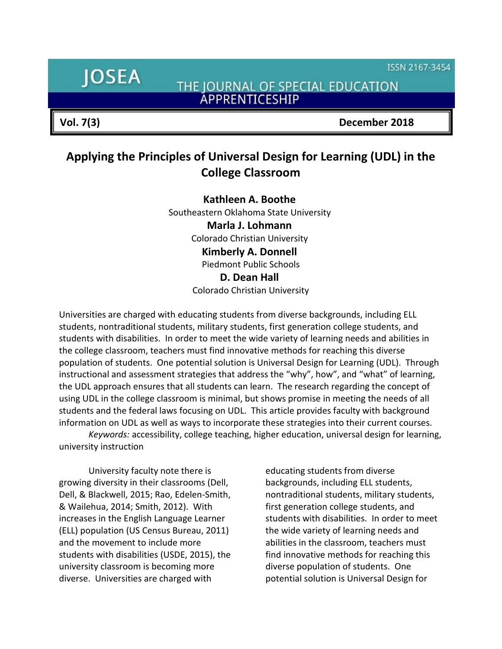ISSN 2167-3454

# **IOSEA**

THE JOURNAL OF SPECIAL EDUCATION **ÁPPRENTICESHIP** 

**Vol. 7(3) December 2018**

## **Applying the Principles of Universal Design for Learning (UDL) in the College Classroom**

**Kathleen A. Boothe** Southeastern Oklahoma State University **Marla J. Lohmann** Colorado Christian University **Kimberly A. Donnell** Piedmont Public Schools **D. Dean Hall** Colorado Christian University

Universities are charged with educating students from diverse backgrounds, including ELL students, nontraditional students, military students, first generation college students, and students with disabilities. In order to meet the wide variety of learning needs and abilities in the college classroom, teachers must find innovative methods for reaching this diverse population of students. One potential solution is Universal Design for Learning (UDL). Through instructional and assessment strategies that address the "why", how", and "what" of learning, the UDL approach ensures that all students can learn. The research regarding the concept of using UDL in the college classroom is minimal, but shows promise in meeting the needs of all students and the federal laws focusing on UDL. This article provides faculty with background information on UDL as well as ways to incorporate these strategies into their current courses.

*Keywords:* accessibility, college teaching, higher education, universal design for learning, university instruction

University faculty note there is growing diversity in their classrooms (Dell, Dell, & Blackwell, 2015; Rao, Edelen-Smith, & Wailehua, 2014; Smith, 2012). With increases in the English Language Learner (ELL) population (US Census Bureau, 2011) and the movement to include more students with disabilities (USDE, 2015), the university classroom is becoming more diverse. Universities are charged with

educating students from diverse backgrounds, including ELL students, nontraditional students, military students, first generation college students, and students with disabilities. In order to meet the wide variety of learning needs and abilities in the classroom, teachers must find innovative methods for reaching this diverse population of students. One potential solution is Universal Design for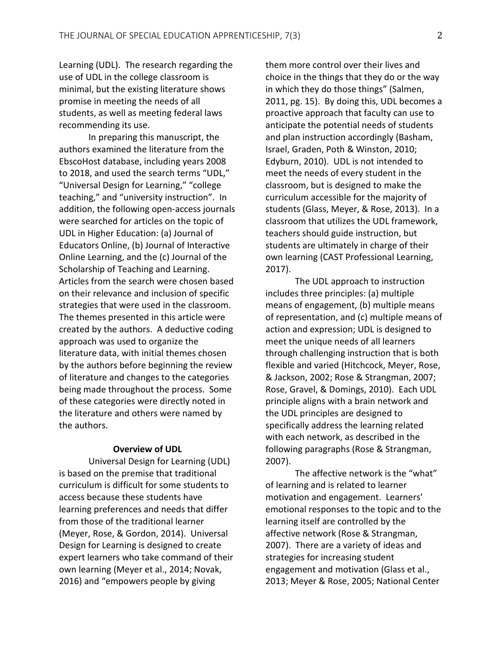Learning (UDL). The research regarding the use of UDL in the college classroom is minimal, but the existing literature shows promise in meeting the needs of all students, as well as meeting federal laws recommending its use.

In preparing this manuscript, the authors examined the literature from the EbscoHost database, including years 2008 to 2018, and used the search terms "UDL," "Universal Design for Learning," "college teaching," and "university instruction". In addition, the following open-access journals were searched for articles on the topic of UDL in Higher Education: (a) Journal of Educators Online, (b) Journal of Interactive Online Learning, and the (c) Journal of the Scholarship of Teaching and Learning. Articles from the search were chosen based on their relevance and inclusion of specific strategies that were used in the classroom. The themes presented in this article were created by the authors. A deductive coding approach was used to organize the literature data, with initial themes chosen by the authors before beginning the review of literature and changes to the categories being made throughout the process. Some of these categories were directly noted in the literature and others were named by the authors.

#### **Overview of UDL**

Universal Design for Learning (UDL) is based on the premise that traditional curriculum is difficult for some students to access because these students have learning preferences and needs that differ from those of the traditional learner (Meyer, Rose, & Gordon, 2014). Universal Design for Learning is designed to create expert learners who take command of their own learning (Meyer et al., 2014; Novak, 2016) and "empowers people by giving

them more control over their lives and choice in the things that they do or the way in which they do those things" (Salmen, 2011, pg. 15). By doing this, UDL becomes a proactive approach that faculty can use to anticipate the potential needs of students and plan instruction accordingly (Basham, Israel, Graden, Poth & Winston, 2010; Edyburn, 2010). UDL is not intended to meet the needs of every student in the classroom, but is designed to make the curriculum accessible for the majority of students (Glass, Meyer, & Rose, 2013). In a classroom that utilizes the UDL framework, teachers should guide instruction, but students are ultimately in charge of their own learning (CAST Professional Learning, 2017).

The UDL approach to instruction includes three principles: (a) multiple means of engagement, (b) multiple means of representation, and (c) multiple means of action and expression; UDL is designed to meet the unique needs of all learners through challenging instruction that is both flexible and varied (Hitchcock, Meyer, Rose, & Jackson, 2002; Rose & Strangman, 2007; Rose, Gravel, & Domings, 2010). Each UDL principle aligns with a brain network and the UDL principles are designed to specifically address the learning related with each network, as described in the following paragraphs (Rose & Strangman, 2007).

The affective network is the "what" of learning and is related to learner motivation and engagement. Learners' emotional responses to the topic and to the learning itself are controlled by the affective network (Rose & Strangman, 2007). There are a variety of ideas and strategies for increasing student engagement and motivation (Glass et al., 2013; Meyer & Rose, 2005; National Center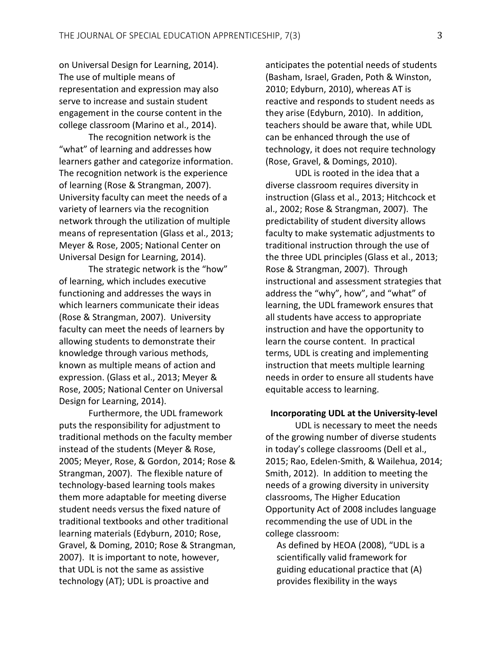on Universal Design for Learning, 2014). The use of multiple means of representation and expression may also serve to increase and sustain student engagement in the course content in the college classroom (Marino et al., 2014).

The recognition network is the "what" of learning and addresses how learners gather and categorize information. The recognition network is the experience of learning (Rose & Strangman, 2007). University faculty can meet the needs of a variety of learners via the recognition network through the utilization of multiple means of representation (Glass et al., 2013; Meyer & Rose, 2005; National Center on Universal Design for Learning, 2014).

The strategic network is the "how" of learning, which includes executive functioning and addresses the ways in which learners communicate their ideas (Rose & Strangman, 2007). University faculty can meet the needs of learners by allowing students to demonstrate their knowledge through various methods, known as multiple means of action and expression. (Glass et al., 2013; Meyer & Rose, 2005; National Center on Universal Design for Learning, 2014).

Furthermore, the UDL framework puts the responsibility for adjustment to traditional methods on the faculty member instead of the students (Meyer & Rose, 2005; Meyer, Rose, & Gordon, 2014; Rose & Strangman, 2007). The flexible nature of technology-based learning tools makes them more adaptable for meeting diverse student needs versus the fixed nature of traditional textbooks and other traditional learning materials (Edyburn, 2010; Rose, Gravel, & Doming, 2010; Rose & Strangman, 2007). It is important to note, however, that UDL is not the same as assistive technology (AT); UDL is proactive and

anticipates the potential needs of students (Basham, Israel, Graden, Poth & Winston, 2010; Edyburn, 2010), whereas AT is reactive and responds to student needs as they arise (Edyburn, 2010). In addition, teachers should be aware that, while UDL can be enhanced through the use of technology, it does not require technology (Rose, Gravel, & Domings, 2010).

UDL is rooted in the idea that a diverse classroom requires diversity in instruction (Glass et al., 2013; Hitchcock et al., 2002; Rose & Strangman, 2007). The predictability of student diversity allows faculty to make systematic adjustments to traditional instruction through the use of the three UDL principles (Glass et al., 2013; Rose & Strangman, 2007). Through instructional and assessment strategies that address the "why", how", and "what" of learning, the UDL framework ensures that all students have access to appropriate instruction and have the opportunity to learn the course content. In practical terms, UDL is creating and implementing instruction that meets multiple learning needs in order to ensure all students have equitable access to learning.

#### **Incorporating UDL at the University-level**

UDL is necessary to meet the needs of the growing number of diverse students in today's college classrooms (Dell et al., 2015; Rao, Edelen-Smith, & Wailehua, 2014; Smith, 2012). In addition to meeting the needs of a growing diversity in university classrooms, The Higher Education Opportunity Act of 2008 includes language recommending the use of UDL in the college classroom:

As defined by HEOA (2008), "UDL is a scientifically valid framework for guiding educational practice that (A) provides flexibility in the ways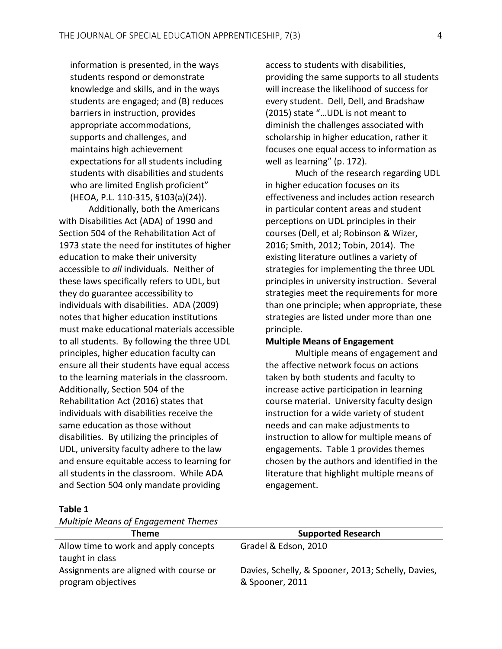information is presented, in the ways students respond or demonstrate knowledge and skills, and in the ways students are engaged; and (B) reduces barriers in instruction, provides appropriate accommodations, supports and challenges, and maintains high achievement expectations for all students including students with disabilities and students who are limited English proficient" (HEOA, P.L. 110-315, §103(a)(24)).

Additionally, both the Americans with Disabilities Act (ADA) of 1990 and Section 504 of the Rehabilitation Act of 1973 state the need for institutes of higher education to make their university accessible to *all* individuals. Neither of these laws specifically refers to UDL, but they do guarantee accessibility to individuals with disabilities. ADA (2009) notes that higher education institutions must make educational materials accessible to all students. By following the three UDL principles, higher education faculty can ensure all their students have equal access to the learning materials in the classroom. Additionally, Section 504 of the Rehabilitation Act (2016) states that individuals with disabilities receive the same education as those without disabilities. By utilizing the principles of UDL, university faculty adhere to the law and ensure equitable access to learning for all students in the classroom. While ADA and Section 504 only mandate providing

access to students with disabilities, providing the same supports to all students will increase the likelihood of success for every student. Dell, Dell, and Bradshaw (2015) state "…UDL is not meant to diminish the challenges associated with scholarship in higher education, rather it focuses one equal access to information as well as learning" (p. 172).

Much of the research regarding UDL in higher education focuses on its effectiveness and includes action research in particular content areas and student perceptions on UDL principles in their courses (Dell, et al; Robinson & Wizer, 2016; Smith, 2012; Tobin, 2014). The existing literature outlines a variety of strategies for implementing the three UDL principles in university instruction. Several strategies meet the requirements for more than one principle; when appropriate, these strategies are listed under more than one principle.

#### **Multiple Means of Engagement**

Multiple means of engagement and the affective network focus on actions taken by both students and faculty to increase active participation in learning course material. University faculty design instruction for a wide variety of student needs and can make adjustments to instruction to allow for multiple means of engagements. Table 1 provides themes chosen by the authors and identified in the literature that highlight multiple means of engagement.

#### **Theme Supported Research** Allow time to work and apply concepts taught in class Gradel & Edson, 2010 Assignments are aligned with course or program objectives Davies, Schelly, & Spooner, 2013; Schelly, Davies, & Spooner, 2011

#### **Table 1**

*Multiple Means of Engagement Themes*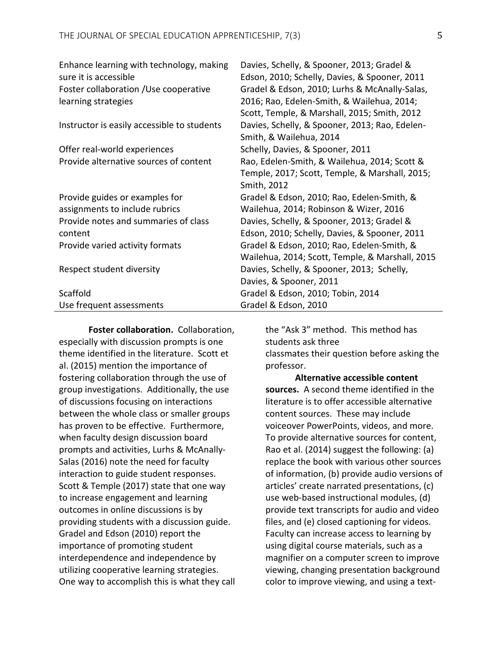| Enhance learning with technology, making    | Davies, Schelly, & Spooner, 2013; Gradel &      |
|---------------------------------------------|-------------------------------------------------|
| sure it is accessible                       | Edson, 2010; Schelly, Davies, & Spooner, 2011   |
| Foster collaboration / Use cooperative      | Gradel & Edson, 2010; Lurhs & McAnally-Salas,   |
| learning strategies                         | 2016; Rao, Edelen-Smith, & Wailehua, 2014;      |
|                                             | Scott, Temple, & Marshall, 2015; Smith, 2012    |
| Instructor is easily accessible to students | Davies, Schelly, & Spooner, 2013; Rao, Edelen-  |
|                                             | Smith, & Wailehua, 2014                         |
| Offer real-world experiences                | Schelly, Davies, & Spooner, 2011                |
| Provide alternative sources of content      | Rao, Edelen-Smith, & Wailehua, 2014; Scott &    |
|                                             | Temple, 2017; Scott, Temple, & Marshall, 2015;  |
|                                             | Smith, 2012                                     |
| Provide guides or examples for              | Gradel & Edson, 2010; Rao, Edelen-Smith, &      |
| assignments to include rubrics              | Wailehua, 2014; Robinson & Wizer, 2016          |
| Provide notes and summaries of class        | Davies, Schelly, & Spooner, 2013; Gradel &      |
| content                                     | Edson, 2010; Schelly, Davies, & Spooner, 2011   |
| Provide varied activity formats             | Gradel & Edson, 2010; Rao, Edelen-Smith, &      |
|                                             | Wailehua, 2014; Scott, Temple, & Marshall, 2015 |
| Respect student diversity                   | Davies, Schelly, & Spooner, 2013; Schelly,      |
|                                             | Davies, & Spooner, 2011                         |
| Scaffold                                    | Gradel & Edson, 2010; Tobin, 2014               |
| Use frequent assessments                    | Gradel & Edson, 2010                            |

**Foster collaboration.** Collaboration, especially with discussion prompts is one theme identified in the literature. Scott et al. (2015) mention the importance of fostering collaboration through the use of group investigations. Additionally, the use of discussions focusing on interactions between the whole class or smaller groups has proven to be effective. Furthermore, when faculty design discussion board prompts and activities, Lurhs & McAnally-Salas (2016) note the need for faculty interaction to guide student responses. Scott & Temple (2017) state that one way to increase engagement and learning outcomes in online discussions is by providing students with a discussion guide. Gradel and Edson (2010) report the importance of promoting student interdependence and independence by utilizing cooperative learning strategies. One way to accomplish this is what they call the "Ask 3" method. This method has students ask three classmates their question before asking the professor.

**Alternative accessible content sources.** A second theme identified in the literature is to offer accessible alternative content sources. These may include voiceover PowerPoints, videos, and more. To provide alternative sources for content, Rao et al. (2014) suggest the following: (a) replace the book with various other sources of information, (b) provide audio versions of articles' create narrated presentations, (c) use web-based instructional modules, (d) provide text transcripts for audio and video files, and (e) closed captioning for videos. Faculty can increase access to learning by using digital course materials, such as a magnifier on a computer screen to improve viewing, changing presentation background color to improve viewing, and using a text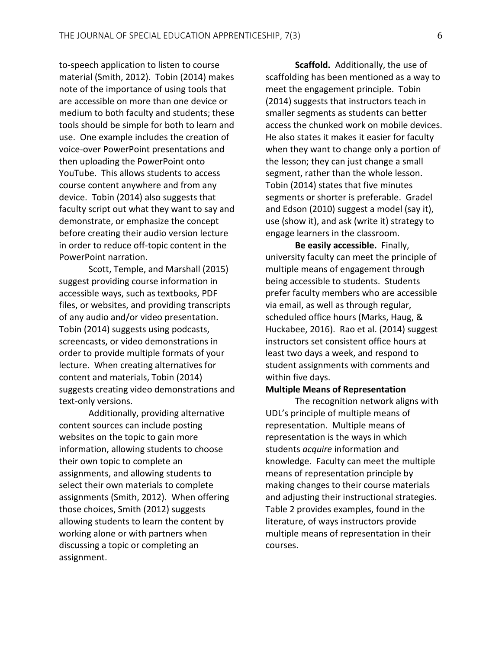to-speech application to listen to course material (Smith, 2012). Tobin (2014) makes note of the importance of using tools that are accessible on more than one device or medium to both faculty and students; these tools should be simple for both to learn and use. One example includes the creation of voice-over PowerPoint presentations and then uploading the PowerPoint onto YouTube. This allows students to access course content anywhere and from any device. Tobin (2014) also suggests that faculty script out what they want to say and demonstrate, or emphasize the concept before creating their audio version lecture in order to reduce off-topic content in the PowerPoint narration.

Scott, Temple, and Marshall (2015) suggest providing course information in accessible ways, such as textbooks, PDF files, or websites, and providing transcripts of any audio and/or video presentation. Tobin (2014) suggests using podcasts, screencasts, or video demonstrations in order to provide multiple formats of your lecture. When creating alternatives for content and materials, Tobin (2014) suggests creating video demonstrations and text-only versions.

Additionally, providing alternative content sources can include posting websites on the topic to gain more information, allowing students to choose their own topic to complete an assignments, and allowing students to select their own materials to complete assignments (Smith, 2012). When offering those choices, Smith (2012) suggests allowing students to learn the content by working alone or with partners when discussing a topic or completing an assignment.

**Scaffold.** Additionally, the use of scaffolding has been mentioned as a way to meet the engagement principle. Tobin (2014) suggests that instructors teach in smaller segments as students can better access the chunked work on mobile devices. He also states it makes it easier for faculty when they want to change only a portion of the lesson; they can just change a small segment, rather than the whole lesson. Tobin (2014) states that five minutes segments or shorter is preferable. Gradel and Edson (2010) suggest a model (say it), use (show it), and ask (write it) strategy to engage learners in the classroom.

**Be easily accessible.** Finally, university faculty can meet the principle of multiple means of engagement through being accessible to students. Students prefer faculty members who are accessible via email, as well as through regular, scheduled office hours (Marks, Haug, & Huckabee, 2016). Rao et al. (2014) suggest instructors set consistent office hours at least two days a week, and respond to student assignments with comments and within five days.

#### **Multiple Means of Representation**

The recognition network aligns with UDL's principle of multiple means of representation. Multiple means of representation is the ways in which students *acquire* information and knowledge. Faculty can meet the multiple means of representation principle by making changes to their course materials and adjusting their instructional strategies. Table 2 provides examples, found in the literature, of ways instructors provide multiple means of representation in their courses.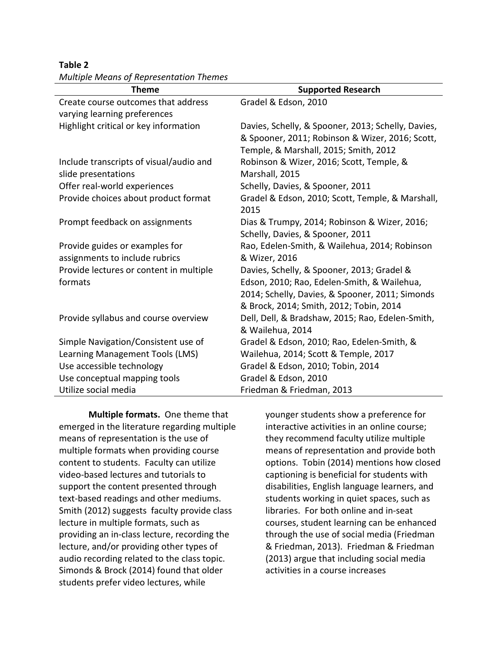**Table 2**

| <b>Supported Research</b>                          |
|----------------------------------------------------|
| Gradel & Edson, 2010                               |
|                                                    |
| Davies, Schelly, & Spooner, 2013; Schelly, Davies, |
| & Spooner, 2011; Robinson & Wizer, 2016; Scott,    |
| Temple, & Marshall, 2015; Smith, 2012              |
| Robinson & Wizer, 2016; Scott, Temple, &           |
| Marshall, 2015                                     |
| Schelly, Davies, & Spooner, 2011                   |
| Gradel & Edson, 2010; Scott, Temple, & Marshall,   |
| 2015                                               |
| Dias & Trumpy, 2014; Robinson & Wizer, 2016;       |
| Schelly, Davies, & Spooner, 2011                   |
| Rao, Edelen-Smith, & Wailehua, 2014; Robinson      |
| & Wizer, 2016                                      |
| Davies, Schelly, & Spooner, 2013; Gradel &         |
| Edson, 2010; Rao, Edelen-Smith, & Wailehua,        |
| 2014; Schelly, Davies, & Spooner, 2011; Simonds    |
| & Brock, 2014; Smith, 2012; Tobin, 2014            |
| Dell, Dell, & Bradshaw, 2015; Rao, Edelen-Smith,   |
| & Wailehua, 2014                                   |
| Gradel & Edson, 2010; Rao, Edelen-Smith, &         |
| Wailehua, 2014; Scott & Temple, 2017               |
| Gradel & Edson, 2010; Tobin, 2014                  |
| Gradel & Edson, 2010                               |
| Friedman & Friedman, 2013                          |
|                                                    |

*Multiple Means of Representation Themes*

**Multiple formats.** One theme that emerged in the literature regarding multiple means of representation is the use of multiple formats when providing course content to students. Faculty can utilize video-based lectures and tutorials to support the content presented through text-based readings and other mediums. Smith (2012) suggests faculty provide class lecture in multiple formats, such as providing an in-class lecture, recording the lecture, and/or providing other types of audio recording related to the class topic. Simonds & Brock (2014) found that older students prefer video lectures, while

younger students show a preference for interactive activities in an online course; they recommend faculty utilize multiple means of representation and provide both options. Tobin (2014) mentions how closed captioning is beneficial for students with disabilities, English language learners, and students working in quiet spaces, such as libraries. For both online and in-seat courses, student learning can be enhanced through the use of social media (Friedman & Friedman, 2013). Friedman & Friedman (2013) argue that including social media activities in a course increases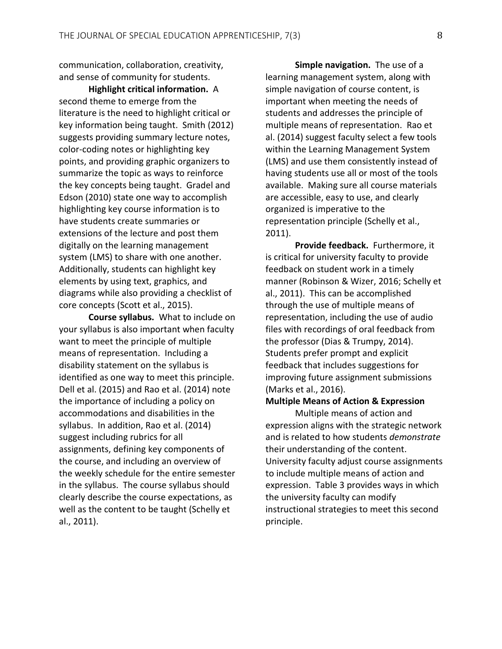communication, collaboration, creativity, and sense of community for students.

**Highlight critical information.** A second theme to emerge from the literature is the need to highlight critical or key information being taught. Smith (2012) suggests providing summary lecture notes, color-coding notes or highlighting key points, and providing graphic organizers to summarize the topic as ways to reinforce the key concepts being taught. Gradel and Edson (2010) state one way to accomplish highlighting key course information is to have students create summaries or extensions of the lecture and post them digitally on the learning management system (LMS) to share with one another. Additionally, students can highlight key elements by using text, graphics, and diagrams while also providing a checklist of core concepts (Scott et al., 2015).

**Course syllabus.** What to include on your syllabus is also important when faculty want to meet the principle of multiple means of representation. Including a disability statement on the syllabus is identified as one way to meet this principle. Dell et al. (2015) and Rao et al. (2014) note the importance of including a policy on accommodations and disabilities in the syllabus. In addition, Rao et al. (2014) suggest including rubrics for all assignments, defining key components of the course, and including an overview of the weekly schedule for the entire semester in the syllabus. The course syllabus should clearly describe the course expectations, as well as the content to be taught (Schelly et al., 2011).

**Simple navigation.** The use of a learning management system, along with simple navigation of course content, is important when meeting the needs of students and addresses the principle of multiple means of representation. Rao et al. (2014) suggest faculty select a few tools within the Learning Management System (LMS) and use them consistently instead of having students use all or most of the tools available. Making sure all course materials are accessible, easy to use, and clearly organized is imperative to the representation principle (Schelly et al., 2011).

**Provide feedback.** Furthermore, it is critical for university faculty to provide feedback on student work in a timely manner (Robinson & Wizer, 2016; Schelly et al., 2011). This can be accomplished through the use of multiple means of representation, including the use of audio files with recordings of oral feedback from the professor (Dias & Trumpy, 2014). Students prefer prompt and explicit feedback that includes suggestions for improving future assignment submissions (Marks et al., 2016).

#### **Multiple Means of Action & Expression**

Multiple means of action and expression aligns with the strategic network and is related to how students *demonstrate* their understanding of the content. University faculty adjust course assignments to include multiple means of action and expression. Table 3 provides ways in which the university faculty can modify instructional strategies to meet this second principle.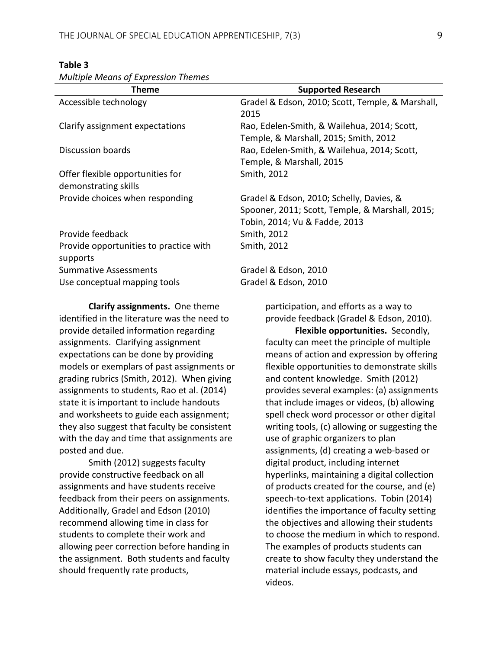| <u><i>IVIUILIDIE IVIEUIIS OF LADIESSIUII THEIHES</i></u> |                                                                                                                              |
|----------------------------------------------------------|------------------------------------------------------------------------------------------------------------------------------|
| Theme                                                    | <b>Supported Research</b>                                                                                                    |
| Accessible technology                                    | Gradel & Edson, 2010; Scott, Temple, & Marshall,<br>2015                                                                     |
| Clarify assignment expectations                          | Rao, Edelen-Smith, & Wailehua, 2014; Scott,<br>Temple, & Marshall, 2015; Smith, 2012                                         |
| <b>Discussion boards</b>                                 | Rao, Edelen-Smith, & Wailehua, 2014; Scott,<br>Temple, & Marshall, 2015                                                      |
| Offer flexible opportunities for<br>demonstrating skills | Smith, 2012                                                                                                                  |
| Provide choices when responding                          | Gradel & Edson, 2010; Schelly, Davies, &<br>Spooner, 2011; Scott, Temple, & Marshall, 2015;<br>Tobin, 2014; Vu & Fadde, 2013 |
| Provide feedback                                         | Smith, 2012                                                                                                                  |
| Provide opportunities to practice with<br>supports       | Smith, 2012                                                                                                                  |
| <b>Summative Assessments</b>                             | Gradel & Edson, 2010                                                                                                         |
| Use conceptual mapping tools                             | Gradel & Edson, 2010                                                                                                         |
|                                                          |                                                                                                                              |

#### **Table 3**

*Multiple Means of Expression Themes* 

**Clarify assignments.** One theme identified in the literature was the need to provide detailed information regarding assignments. Clarifying assignment expectations can be done by providing models or exemplars of past assignments or grading rubrics (Smith, 2012). When giving assignments to students, Rao et al. (2014) state it is important to include handouts and worksheets to guide each assignment; they also suggest that faculty be consistent with the day and time that assignments are posted and due.

Smith (2012) suggests faculty provide constructive feedback on all assignments and have students receive feedback from their peers on assignments. Additionally, Gradel and Edson (2010) recommend allowing time in class for students to complete their work and allowing peer correction before handing in the assignment. Both students and faculty should frequently rate products,

participation, and efforts as a way to provide feedback (Gradel & Edson, 2010).

**Flexible opportunities.** Secondly, faculty can meet the principle of multiple means of action and expression by offering flexible opportunities to demonstrate skills and content knowledge. Smith (2012) provides several examples: (a) assignments that include images or videos, (b) allowing spell check word processor or other digital writing tools, (c) allowing or suggesting the use of graphic organizers to plan assignments, (d) creating a web-based or digital product, including internet hyperlinks, maintaining a digital collection of products created for the course, and (e) speech-to-text applications. Tobin (2014) identifies the importance of faculty setting the objectives and allowing their students to choose the medium in which to respond. The examples of products students can create to show faculty they understand the material include essays, podcasts, and videos.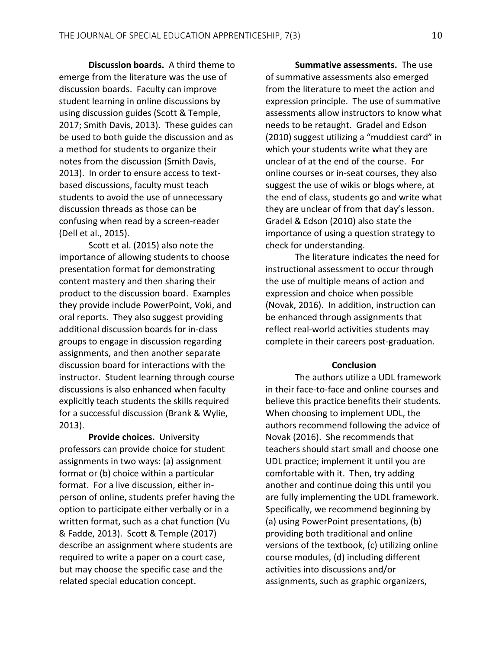**Discussion boards.** A third theme to emerge from the literature was the use of discussion boards. Faculty can improve student learning in online discussions by using discussion guides (Scott & Temple, 2017; Smith Davis, 2013). These guides can be used to both guide the discussion and as a method for students to organize their notes from the discussion (Smith Davis, 2013). In order to ensure access to textbased discussions, faculty must teach students to avoid the use of unnecessary discussion threads as those can be confusing when read by a screen-reader (Dell et al., 2015).

Scott et al. (2015) also note the importance of allowing students to choose presentation format for demonstrating content mastery and then sharing their product to the discussion board. Examples they provide include PowerPoint, Voki, and oral reports. They also suggest providing additional discussion boards for in-class groups to engage in discussion regarding assignments, and then another separate discussion board for interactions with the instructor. Student learning through course discussions is also enhanced when faculty explicitly teach students the skills required for a successful discussion (Brank & Wylie, 2013).

**Provide choices.** University professors can provide choice for student assignments in two ways: (a) assignment format or (b) choice within a particular format. For a live discussion, either inperson of online, students prefer having the option to participate either verbally or in a written format, such as a chat function (Vu & Fadde, 2013). Scott & Temple (2017) describe an assignment where students are required to write a paper on a court case, but may choose the specific case and the related special education concept.

**Summative assessments.** The use of summative assessments also emerged from the literature to meet the action and expression principle. The use of summative assessments allow instructors to know what needs to be retaught. Gradel and Edson (2010) suggest utilizing a "muddiest card" in which your students write what they are unclear of at the end of the course. For online courses or in-seat courses, they also suggest the use of wikis or blogs where, at the end of class, students go and write what they are unclear of from that day's lesson. Gradel & Edson (2010) also state the importance of using a question strategy to check for understanding.

The literature indicates the need for instructional assessment to occur through the use of multiple means of action and expression and choice when possible (Novak, 2016). In addition, instruction can be enhanced through assignments that reflect real-world activities students may complete in their careers post-graduation.

#### **Conclusion**

The authors utilize a UDL framework in their face-to-face and online courses and believe this practice benefits their students. When choosing to implement UDL, the authors recommend following the advice of Novak (2016). She recommends that teachers should start small and choose one UDL practice; implement it until you are comfortable with it. Then, try adding another and continue doing this until you are fully implementing the UDL framework. Specifically, we recommend beginning by (a) using PowerPoint presentations, (b) providing both traditional and online versions of the textbook, (c) utilizing online course modules, (d) including different activities into discussions and/or assignments, such as graphic organizers,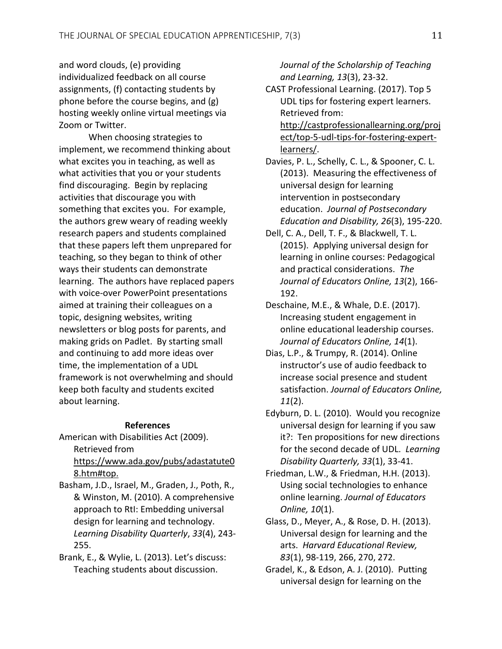and word clouds, (e) providing individualized feedback on all course assignments, (f) contacting students by phone before the course begins, and (g) hosting weekly online virtual meetings via Zoom or Twitter.

When choosing strategies to implement, we recommend thinking about what excites you in teaching, as well as what activities that you or your students find discouraging. Begin by replacing activities that discourage you with something that excites you. For example, the authors grew weary of reading weekly research papers and students complained that these papers left them unprepared for teaching, so they began to think of other ways their students can demonstrate learning. The authors have replaced papers with voice-over PowerPoint presentations aimed at training their colleagues on a topic, designing websites, writing newsletters or blog posts for parents, and making grids on Padlet. By starting small and continuing to add more ideas over time, the implementation of a UDL framework is not overwhelming and should keep both faculty and students excited about learning.

#### **References**

American with Disabilities Act (2009). Retrieved from https://www.ada.gov/pubs/adastatute0 8.htm#top.

Basham, J.D., Israel, M., Graden, J., Poth, R., & Winston, M. (2010). A comprehensive approach to RtI: Embedding universal design for learning and technology. *Learning Disability Quarterly*, *33*(4), 243- 255.

Brank, E., & Wylie, L. (2013). Let's discuss: Teaching students about discussion.

*Journal of the Scholarship of Teaching and Learning, 13*(3), 23-32.

CAST Professional Learning. (2017). Top 5 UDL tips for fostering expert learners. Retrieved from: http://castprofessionallearning.org/proj ect/top-5-udl-tips-for-fostering-expertlearners/.

Davies, P. L., Schelly, C. L., & Spooner, C. L. (2013). Measuring the effectiveness of universal design for learning intervention in postsecondary education. *Journal of Postsecondary Education and Disability, 26*(3), 195-220.

- Dell, C. A., Dell, T. F., & Blackwell, T. L. (2015). Applying universal design for learning in online courses: Pedagogical and practical considerations. *The Journal of Educators Online, 13*(2), 166- 192.
- Deschaine, M.E., & Whale, D.E. (2017). Increasing student engagement in online educational leadership courses. *Journal of Educators Online, 14*(1).
- Dias, L.P., & Trumpy, R. (2014). Online instructor's use of audio feedback to increase social presence and student satisfaction. *Journal of Educators Online, 11*(2).
- Edyburn, D. L. (2010). Would you recognize universal design for learning if you saw it?: Ten propositions for new directions for the second decade of UDL. *Learning Disability Quarterly, 33*(1), 33-41.
- Friedman, L.W., & Friedman, H.H. (2013). Using social technologies to enhance online learning. *Journal of Educators Online, 10*(1).
- Glass, D., Meyer, A., & Rose, D. H. (2013). Universal design for learning and the arts. *Harvard Educational Review, 83*(1), 98-119, 266, 270, 272.
- Gradel, K., & Edson, A. J. (2010). Putting universal design for learning on the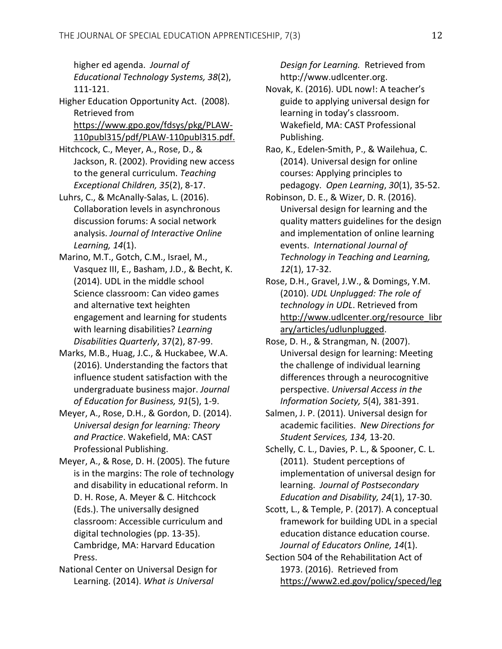higher ed agenda. *Journal of Educational Technology Systems, 38*(2), 111-121.

- Higher Education Opportunity Act. (2008). Retrieved from https://www.gpo.gov/fdsys/pkg/PLAW-110publ315/pdf/PLAW-110publ315.pdf.
- Hitchcock, C., Meyer, A., Rose, D., & Jackson, R. (2002). Providing new access to the general curriculum. *Teaching Exceptional Children, 35*(2), 8-17.
- Luhrs, C., & McAnally-Salas, L. (2016). Collaboration levels in asynchronous discussion forums: A social network analysis. *Journal of Interactive Online Learning, 14*(1).
- Marino, M.T., Gotch, C.M., Israel, M., Vasquez III, E., Basham, J.D., & Becht, K. (2014). UDL in the middle school Science classroom: Can video games and alternative text heighten engagement and learning for students with learning disabilities? *Learning Disabilities Quarterly*, 37(2), 87-99.
- Marks, M.B., Huag, J.C., & Huckabee, W.A. (2016). Understanding the factors that influence student satisfaction with the undergraduate business major. *Journal of Education for Business, 91*(5), 1-9.
- Meyer, A., Rose, D.H., & Gordon, D. (2014). *Universal design for learning: Theory and Practice*. Wakefield, MA: CAST Professional Publishing.
- Meyer, A., & Rose, D. H. (2005). The future is in the margins: The role of technology and disability in educational reform. In D. H. Rose, A. Meyer & C. Hitchcock (Eds.). The universally designed classroom: Accessible curriculum and digital technologies (pp. 13-35). Cambridge, MA: Harvard Education Press.
- National Center on Universal Design for Learning. (2014). *What is Universal*

*Design for Learning.* Retrieved from http://www.udlcenter.org.

- Novak, K. (2016). UDL now!: A teacher's guide to applying universal design for learning in today's classroom. Wakefield, MA: CAST Professional Publishing.
- Rao, K., Edelen-Smith, P., & Wailehua, C. (2014). Universal design for online courses: Applying principles to pedagogy. *Open Learning*, *30*(1), 35-52.
- Robinson, D. E., & Wizer, D. R. (2016). Universal design for learning and the quality matters guidelines for the design and implementation of online learning events. *International Journal of Technology in Teaching and Learning, 12*(1), 17-32.
- Rose, D.H., Gravel, J.W., & Domings, Y.M. (2010). *UDL Unplugged: The role of technology in UDL*. Retrieved from http://www.udlcenter.org/resource\_libr ary/articles/udlunplugged.
- Rose, D. H., & Strangman, N. (2007). Universal design for learning: Meeting the challenge of individual learning differences through a neurocognitive perspective. *Universal Access in the Information Society, 5*(4), 381-391.
- Salmen, J. P. (2011). Universal design for academic facilities. *New Directions for Student Services, 134,* 13-20.
- Schelly, C. L., Davies, P. L., & Spooner, C. L. (2011). Student perceptions of implementation of universal design for learning. *Journal of Postsecondary Education and Disability, 24*(1), 17-30.
- Scott, L., & Temple, P. (2017). A conceptual framework for building UDL in a special education distance education course. *Journal of Educators Online, 14*(1).
- Section 504 of the Rehabilitation Act of 1973. (2016). Retrieved from https://www2.ed.gov/policy/speced/leg